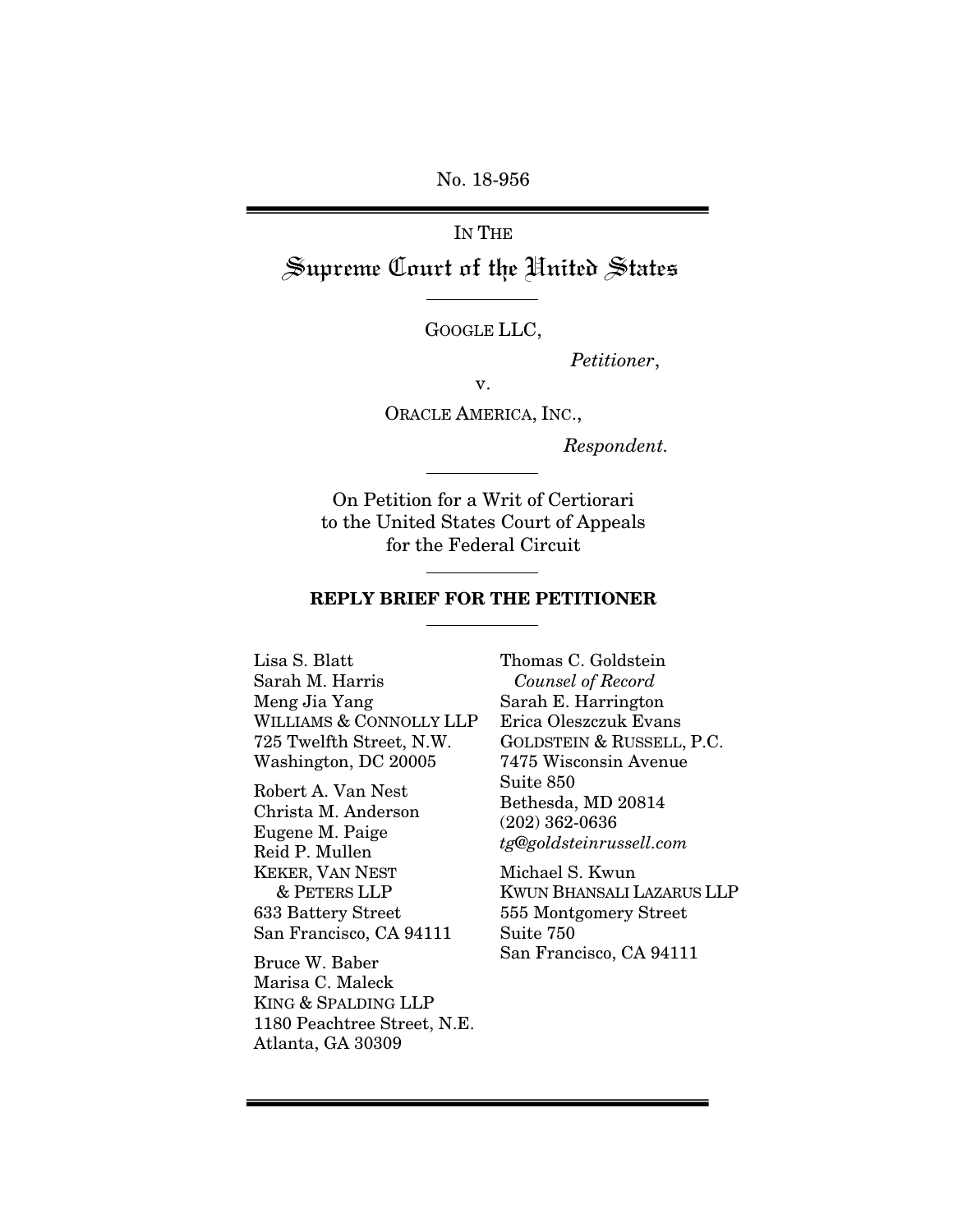No. 18-956

IN THE Supreme Court of the United States

GOOGLE LLC,

*Petitioner*,

v.

ORACLE AMERICA, INC.,

*Respondent.* 

On Petition for a Writ of Certiorari to the United States Court of Appeals for the Federal Circuit

#### REPLY BRIEF FOR THE PETITIONER

Lisa S. Blatt Sarah M. Harris Meng Jia Yang WILLIAMS & CONNOLLY LLP 725 Twelfth Street, N.W. Washington, DC 20005

Robert A. Van Nest Christa M. Anderson Eugene M. Paige Reid P. Mullen KEKER, VAN NEST & PETERS LLP 633 Battery Street San Francisco, CA 94111

Bruce W. Baber Marisa C. Maleck KING & SPALDING LLP 1180 Peachtree Street, N.E. Atlanta, GA 30309

Thomas C. Goldstein *Counsel of Record*  Sarah E. Harrington Erica Oleszczuk Evans GOLDSTEIN & RUSSELL, P.C. 7475 Wisconsin Avenue Suite 850 Bethesda, MD 20814 (202) 362-0636 *tg@goldsteinrussell.com* 

Michael S. Kwun KWUN BHANSALI LAZARUS LLP 555 Montgomery Street Suite 750 San Francisco, CA 94111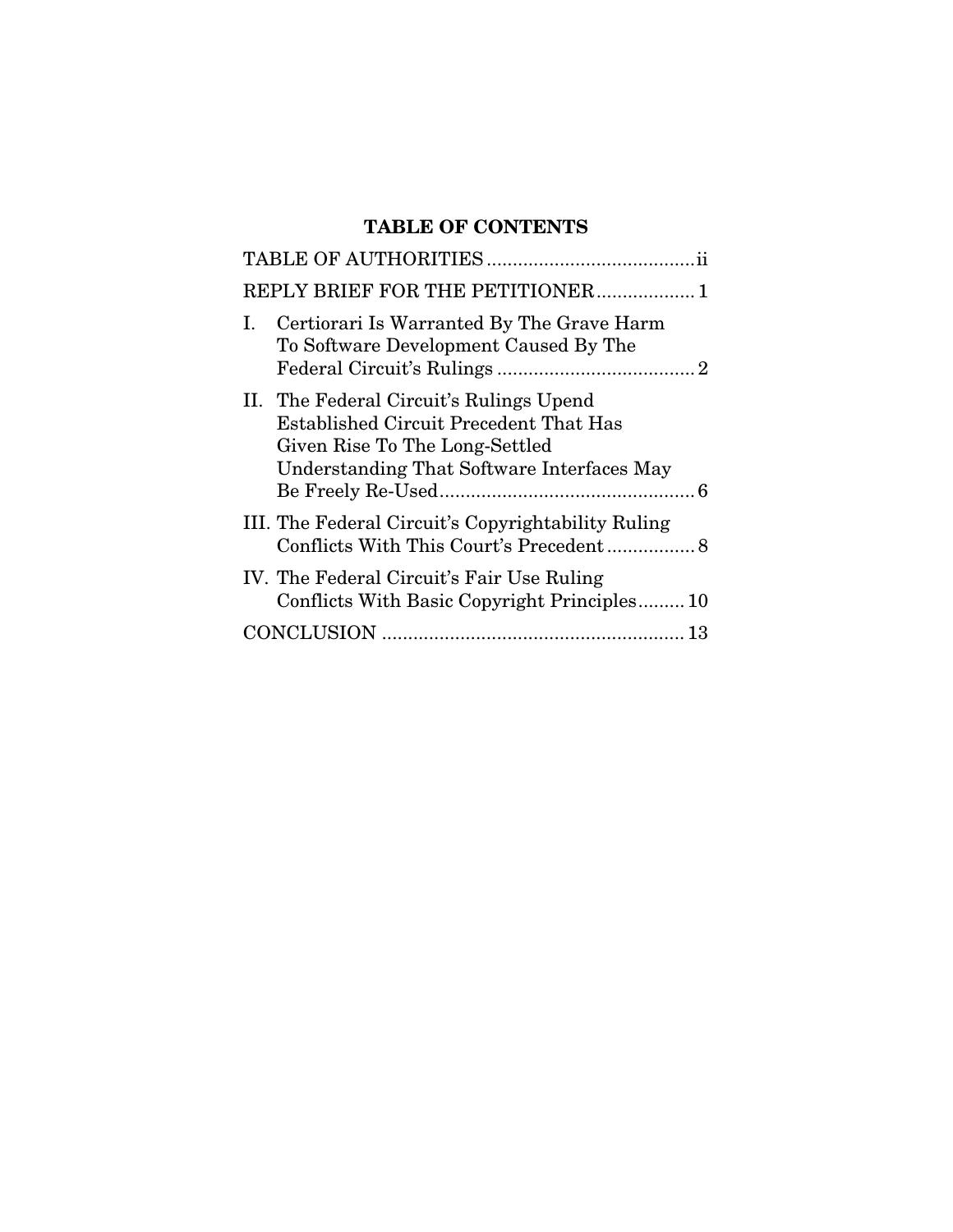# TABLE OF CONTENTS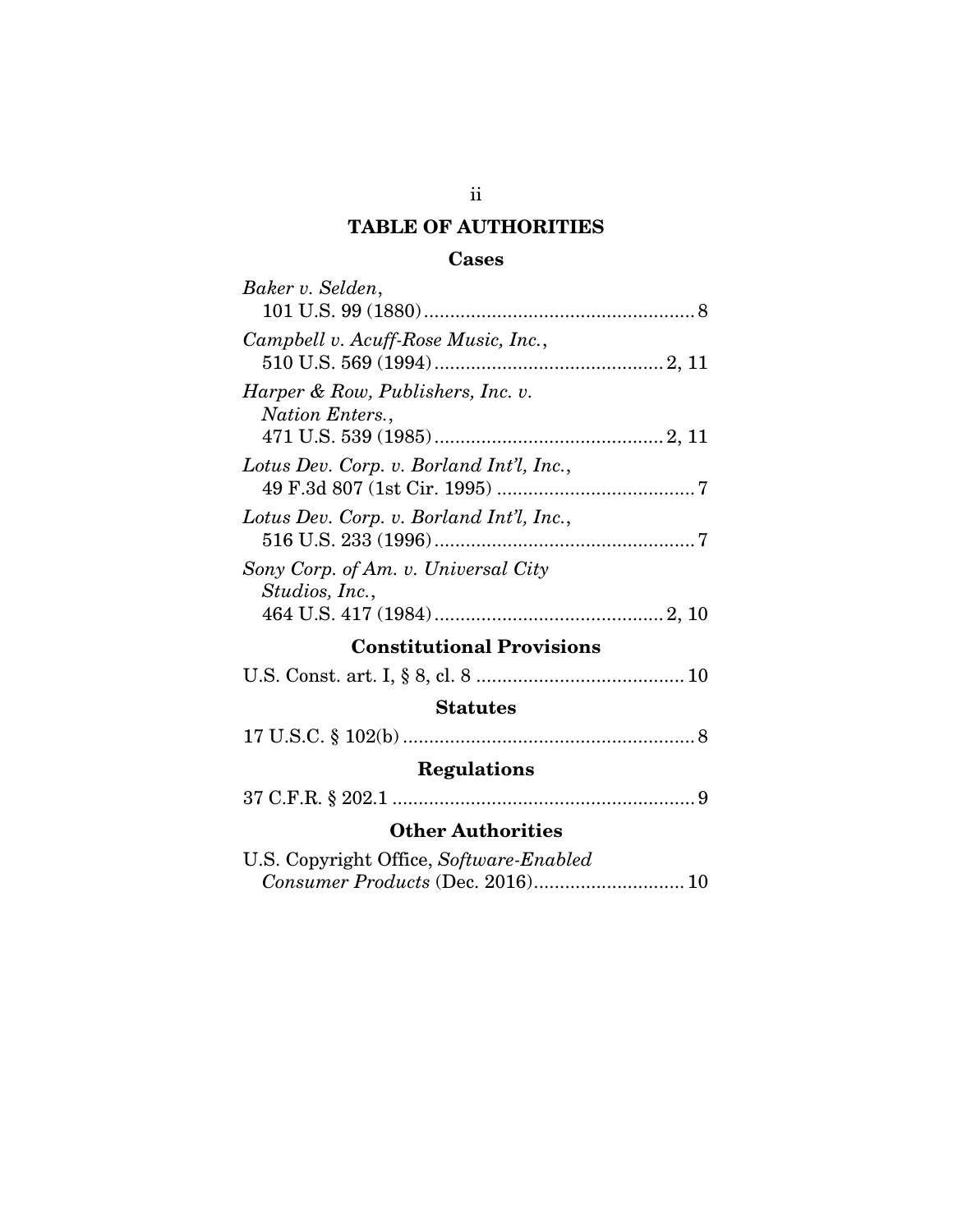# TABLE OF AUTHORITIES

# Cases

| Baker v. Selden,                         |
|------------------------------------------|
|                                          |
| Campbell v. Acuff-Rose Music, Inc.,      |
|                                          |
| Harper & Row, Publishers, Inc. v.        |
| Nation Enters.,                          |
|                                          |
| Lotus Dev. Corp. v. Borland Int'l, Inc., |
|                                          |
| Lotus Dev. Corp. v. Borland Int'l, Inc., |
|                                          |
| Sony Corp. of Am. v. Universal City      |
|                                          |
| Studios, Inc.,                           |
|                                          |
| <b>Constitutional Provisions</b>         |
|                                          |
| <b>Statutes</b>                          |
|                                          |
|                                          |
| <b>Regulations</b>                       |
|                                          |
| <b>Other Authorities</b>                 |
| U.S. Copyright Office, Software-Enabled  |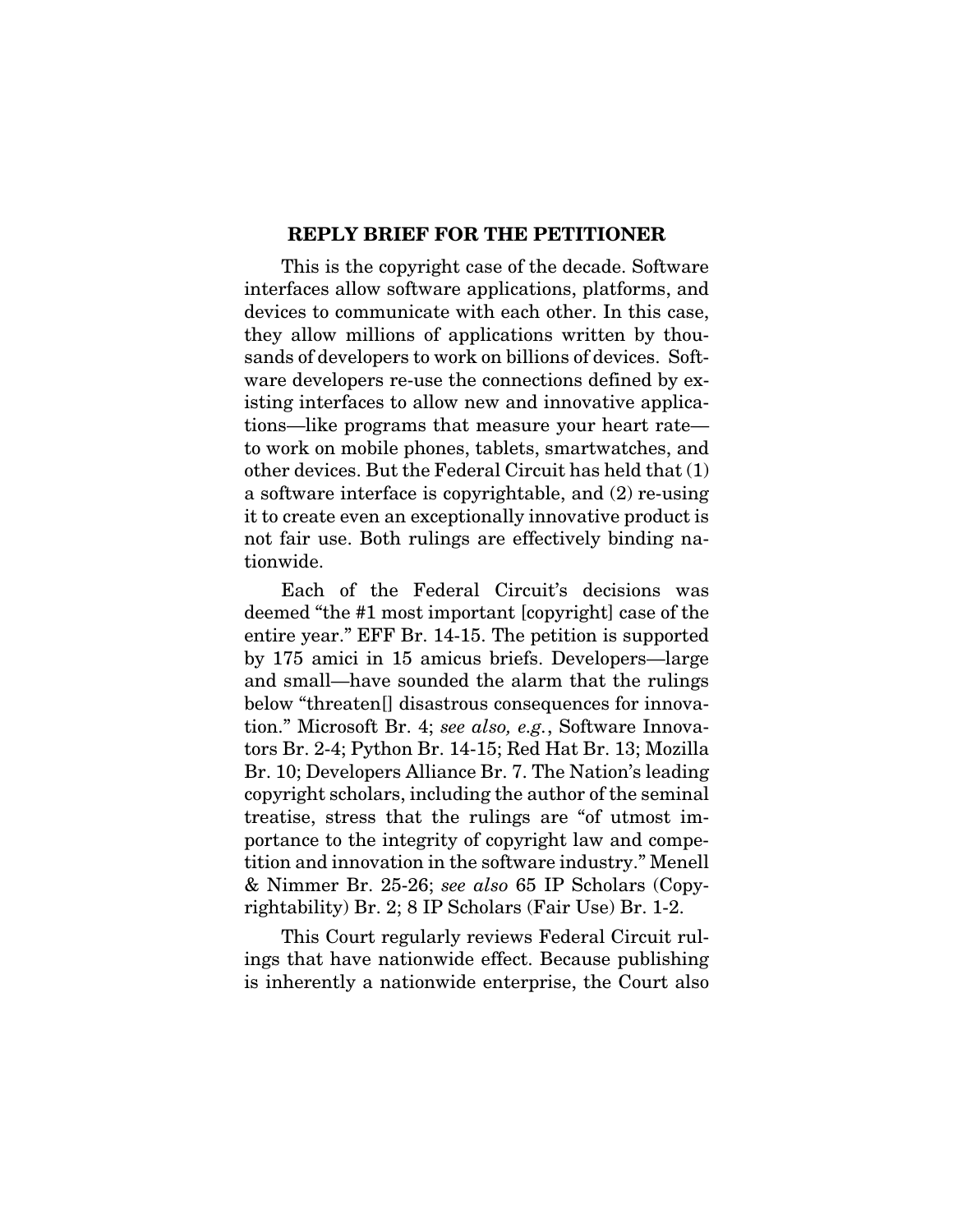#### REPLY BRIEF FOR THE PETITIONER

This is the copyright case of the decade. Software interfaces allow software applications, platforms, and devices to communicate with each other. In this case, they allow millions of applications written by thousands of developers to work on billions of devices. Software developers re-use the connections defined by existing interfaces to allow new and innovative applications—like programs that measure your heart rate to work on mobile phones, tablets, smartwatches, and other devices. But the Federal Circuit has held that (1) a software interface is copyrightable, and (2) re-using it to create even an exceptionally innovative product is not fair use. Both rulings are effectively binding nationwide.

Each of the Federal Circuit's decisions was deemed "the #1 most important [copyright] case of the entire year." EFF Br. 14-15. The petition is supported by 175 amici in 15 amicus briefs. Developers—large and small—have sounded the alarm that the rulings below "threaten[] disastrous consequences for innovation." Microsoft Br. 4; *see also, e.g.*, Software Innovators Br. 2-4; Python Br. 14-15; Red Hat Br. 13; Mozilla Br. 10; Developers Alliance Br. 7. The Nation's leading copyright scholars, including the author of the seminal treatise, stress that the rulings are "of utmost importance to the integrity of copyright law and competition and innovation in the software industry." Menell & Nimmer Br. 25-26; *see also* 65 IP Scholars (Copyrightability) Br. 2; 8 IP Scholars (Fair Use) Br. 1-2.

This Court regularly reviews Federal Circuit rulings that have nationwide effect. Because publishing is inherently a nationwide enterprise, the Court also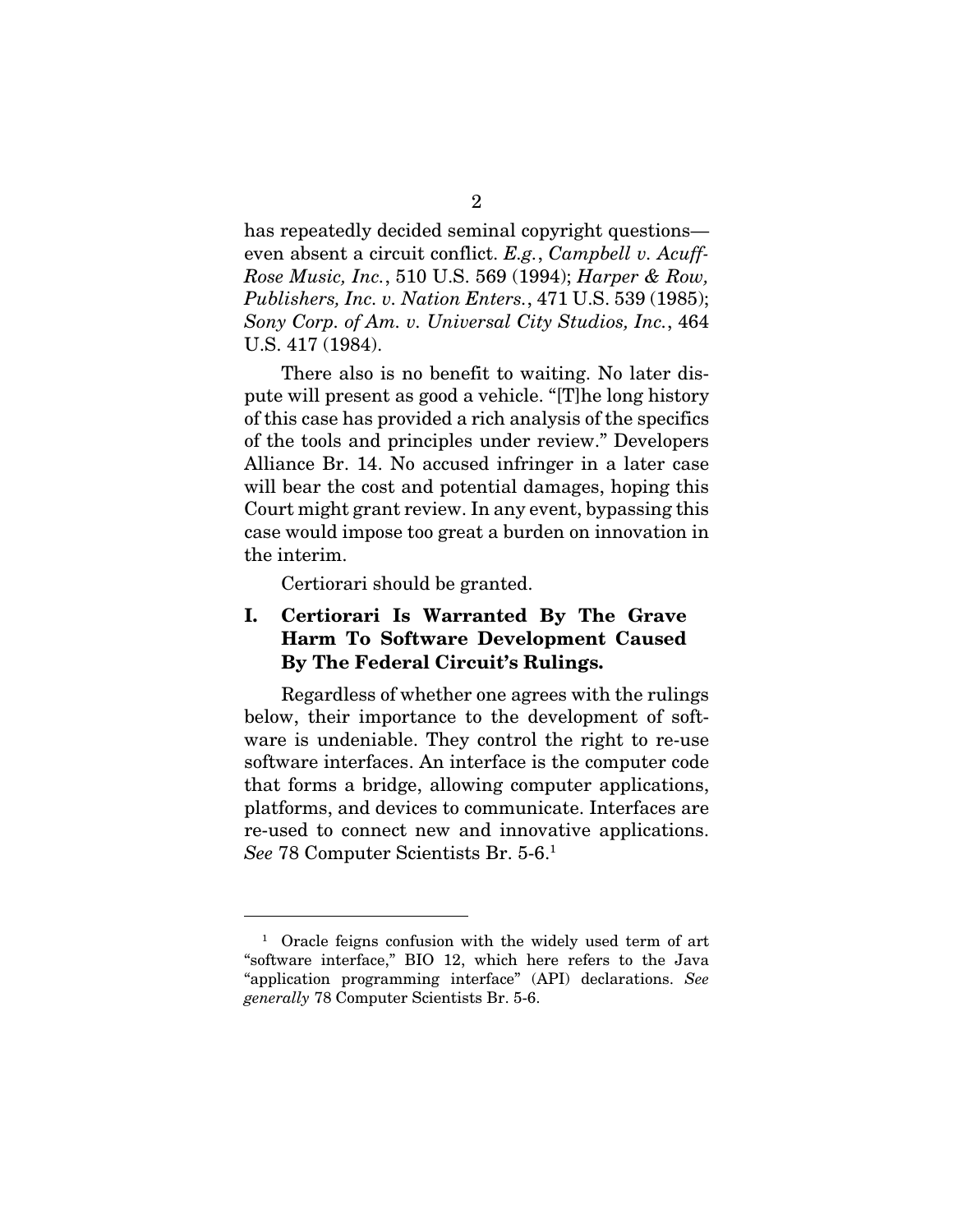has repeatedly decided seminal copyright questions even absent a circuit conflict. *E.g.*, *Campbell v. Acuff-Rose Music, Inc.*, 510 U.S. 569 (1994); *Harper & Row, Publishers, Inc. v. Nation Enters.*, 471 U.S. 539 (1985); *Sony Corp. of Am. v. Universal City Studios, Inc.*, 464 U.S. 417 (1984).

There also is no benefit to waiting. No later dispute will present as good a vehicle. "[T]he long history of this case has provided a rich analysis of the specifics of the tools and principles under review." Developers Alliance Br. 14. No accused infringer in a later case will bear the cost and potential damages, hoping this Court might grant review. In any event, bypassing this case would impose too great a burden on innovation in the interim.

Certiorari should be granted.

<u>.</u>

## I. Certiorari Is Warranted By The Grave Harm To Software Development Caused By The Federal Circuit's Rulings.

Regardless of whether one agrees with the rulings below, their importance to the development of software is undeniable. They control the right to re-use software interfaces. An interface is the computer code that forms a bridge, allowing computer applications, platforms, and devices to communicate. Interfaces are re-used to connect new and innovative applications. *See* 78 Computer Scientists Br. 5-6.1

<sup>1</sup> Oracle feigns confusion with the widely used term of art "software interface," BIO 12, which here refers to the Java "application programming interface" (API) declarations. *See generally* 78 Computer Scientists Br. 5-6.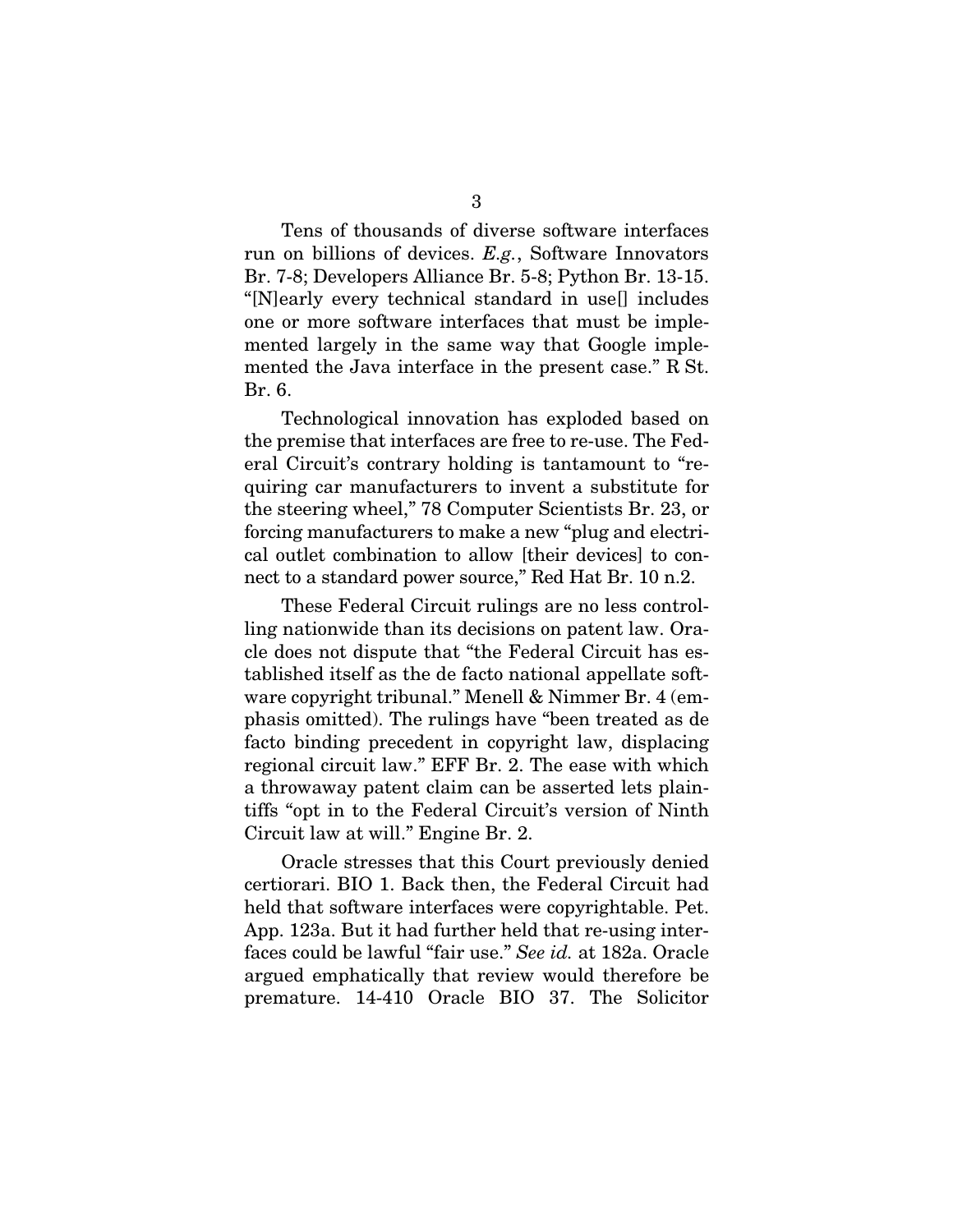Tens of thousands of diverse software interfaces run on billions of devices. *E.g.*, Software Innovators Br. 7-8; Developers Alliance Br. 5-8; Python Br. 13-15. "[N]early every technical standard in use[] includes one or more software interfaces that must be implemented largely in the same way that Google implemented the Java interface in the present case." R St. Br. 6.

Technological innovation has exploded based on the premise that interfaces are free to re-use. The Federal Circuit's contrary holding is tantamount to "requiring car manufacturers to invent a substitute for the steering wheel," 78 Computer Scientists Br. 23, or forcing manufacturers to make a new "plug and electrical outlet combination to allow [their devices] to connect to a standard power source," Red Hat Br. 10 n.2.

These Federal Circuit rulings are no less controlling nationwide than its decisions on patent law. Oracle does not dispute that "the Federal Circuit has established itself as the de facto national appellate software copyright tribunal." Menell & Nimmer Br. 4 (emphasis omitted). The rulings have "been treated as de facto binding precedent in copyright law, displacing regional circuit law." EFF Br. 2. The ease with which a throwaway patent claim can be asserted lets plaintiffs "opt in to the Federal Circuit's version of Ninth Circuit law at will." Engine Br. 2.

Oracle stresses that this Court previously denied certiorari. BIO 1. Back then, the Federal Circuit had held that software interfaces were copyrightable. Pet. App. 123a. But it had further held that re-using interfaces could be lawful "fair use." *See id.* at 182a. Oracle argued emphatically that review would therefore be premature. 14-410 Oracle BIO 37. The Solicitor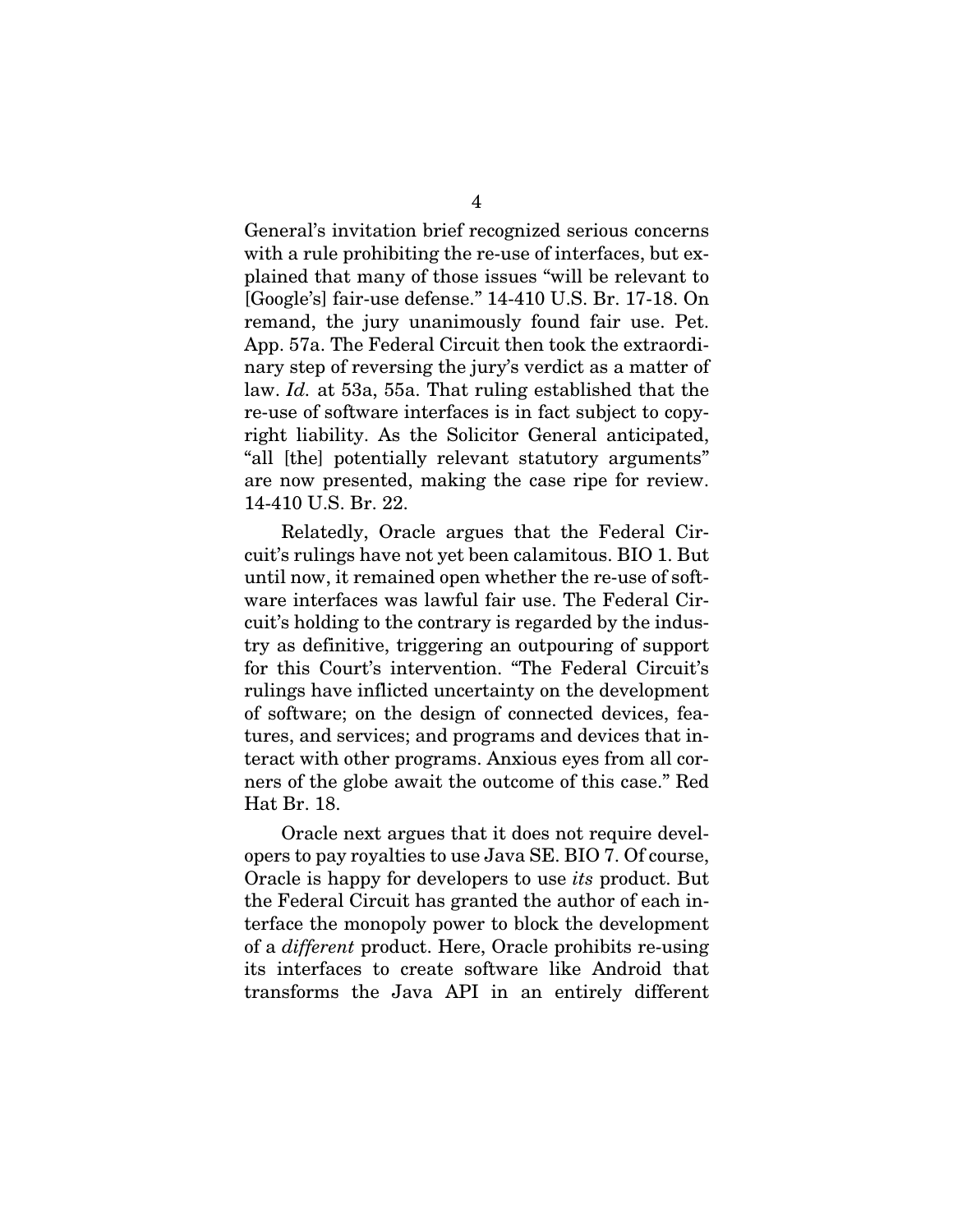General's invitation brief recognized serious concerns with a rule prohibiting the re-use of interfaces, but explained that many of those issues "will be relevant to [Google's] fair-use defense." 14-410 U.S. Br. 17-18. On remand, the jury unanimously found fair use. Pet. App. 57a. The Federal Circuit then took the extraordinary step of reversing the jury's verdict as a matter of law. *Id.* at 53a, 55a. That ruling established that the re-use of software interfaces is in fact subject to copyright liability. As the Solicitor General anticipated, "all [the] potentially relevant statutory arguments" are now presented, making the case ripe for review. 14-410 U.S. Br. 22.

Relatedly, Oracle argues that the Federal Circuit's rulings have not yet been calamitous. BIO 1. But until now, it remained open whether the re-use of software interfaces was lawful fair use. The Federal Circuit's holding to the contrary is regarded by the industry as definitive, triggering an outpouring of support for this Court's intervention. "The Federal Circuit's rulings have inflicted uncertainty on the development of software; on the design of connected devices, features, and services; and programs and devices that interact with other programs. Anxious eyes from all corners of the globe await the outcome of this case." Red Hat Br. 18.

Oracle next argues that it does not require developers to pay royalties to use Java SE. BIO 7. Of course, Oracle is happy for developers to use *its* product. But the Federal Circuit has granted the author of each interface the monopoly power to block the development of a *different* product. Here, Oracle prohibits re-using its interfaces to create software like Android that transforms the Java API in an entirely different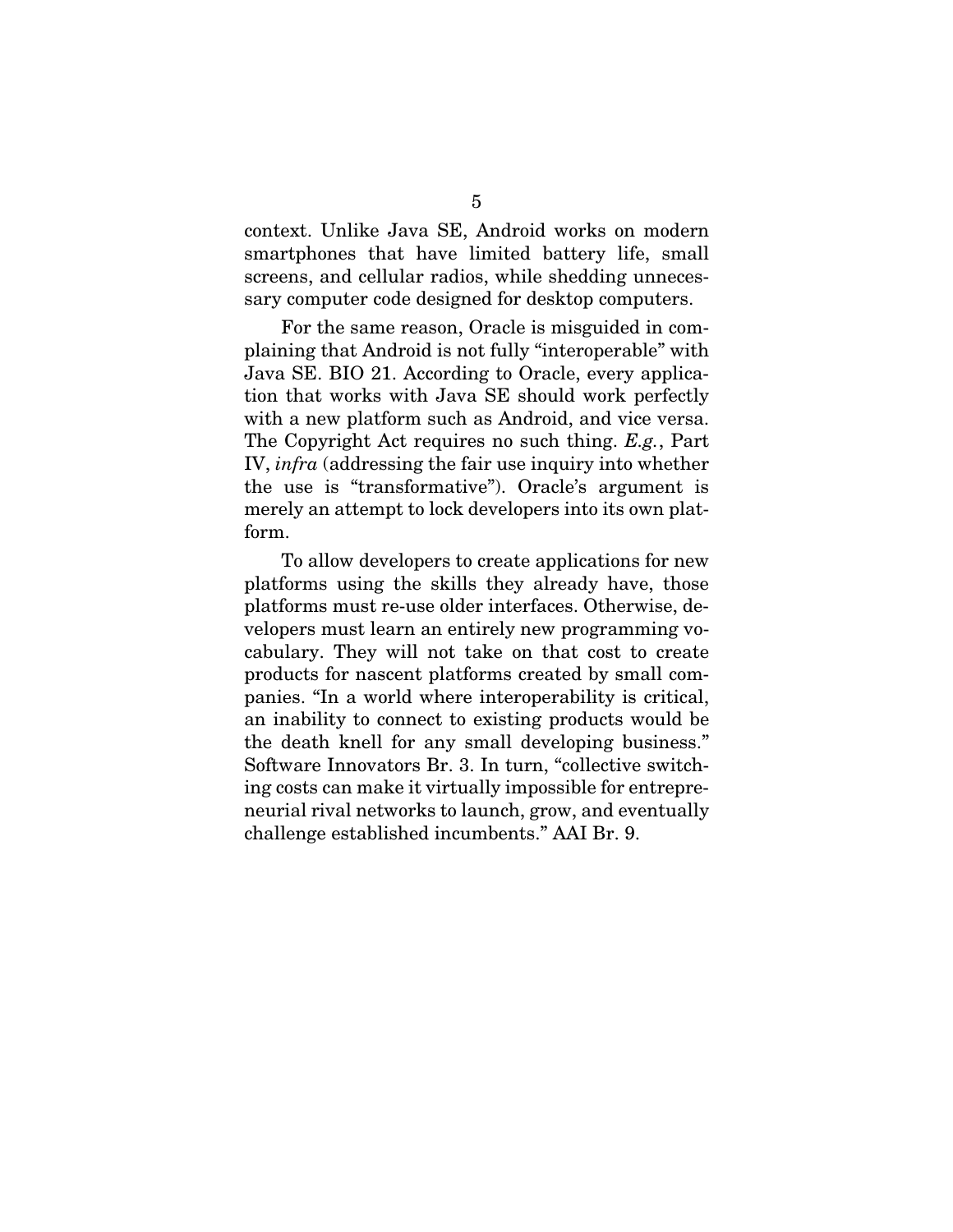context. Unlike Java SE, Android works on modern smartphones that have limited battery life, small screens, and cellular radios, while shedding unnecessary computer code designed for desktop computers.

For the same reason, Oracle is misguided in complaining that Android is not fully "interoperable" with Java SE. BIO 21. According to Oracle, every application that works with Java SE should work perfectly with a new platform such as Android, and vice versa. The Copyright Act requires no such thing. *E.g.*, Part IV, *infra* (addressing the fair use inquiry into whether the use is "transformative"). Oracle's argument is merely an attempt to lock developers into its own platform.

To allow developers to create applications for new platforms using the skills they already have, those platforms must re-use older interfaces. Otherwise, developers must learn an entirely new programming vocabulary. They will not take on that cost to create products for nascent platforms created by small companies. "In a world where interoperability is critical, an inability to connect to existing products would be the death knell for any small developing business." Software Innovators Br. 3. In turn, "collective switching costs can make it virtually impossible for entrepreneurial rival networks to launch, grow, and eventually challenge established incumbents." AAI Br. 9.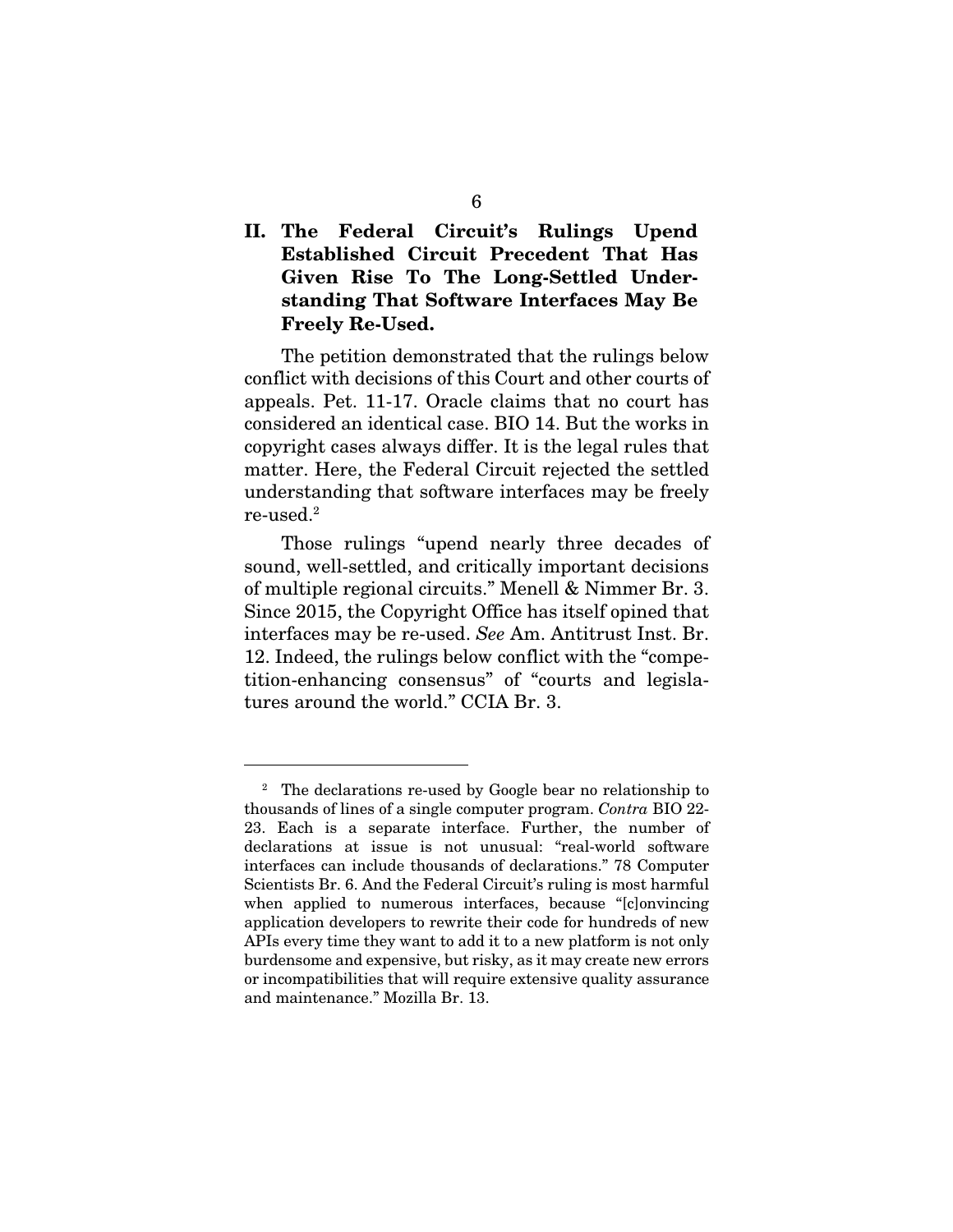# II. The Federal Circuit's Rulings Upend Established Circuit Precedent That Has Given Rise To The Long-Settled Understanding That Software Interfaces May Be Freely Re-Used.

The petition demonstrated that the rulings below conflict with decisions of this Court and other courts of appeals. Pet. 11-17. Oracle claims that no court has considered an identical case. BIO 14. But the works in copyright cases always differ. It is the legal rules that matter. Here, the Federal Circuit rejected the settled understanding that software interfaces may be freely re-used.2

Those rulings "upend nearly three decades of sound, well-settled, and critically important decisions of multiple regional circuits." Menell & Nimmer Br. 3. Since 2015, the Copyright Office has itself opined that interfaces may be re-used. *See* Am. Antitrust Inst. Br. 12. Indeed, the rulings below conflict with the "competition-enhancing consensus" of "courts and legislatures around the world." CCIA Br. 3.

-

<sup>&</sup>lt;sup>2</sup> The declarations re-used by Google bear no relationship to thousands of lines of a single computer program. *Contra* BIO 22- 23. Each is a separate interface. Further, the number of declarations at issue is not unusual: "real-world software interfaces can include thousands of declarations." 78 Computer Scientists Br. 6. And the Federal Circuit's ruling is most harmful when applied to numerous interfaces, because "[c]onvincing application developers to rewrite their code for hundreds of new APIs every time they want to add it to a new platform is not only burdensome and expensive, but risky, as it may create new errors or incompatibilities that will require extensive quality assurance and maintenance." Mozilla Br. 13.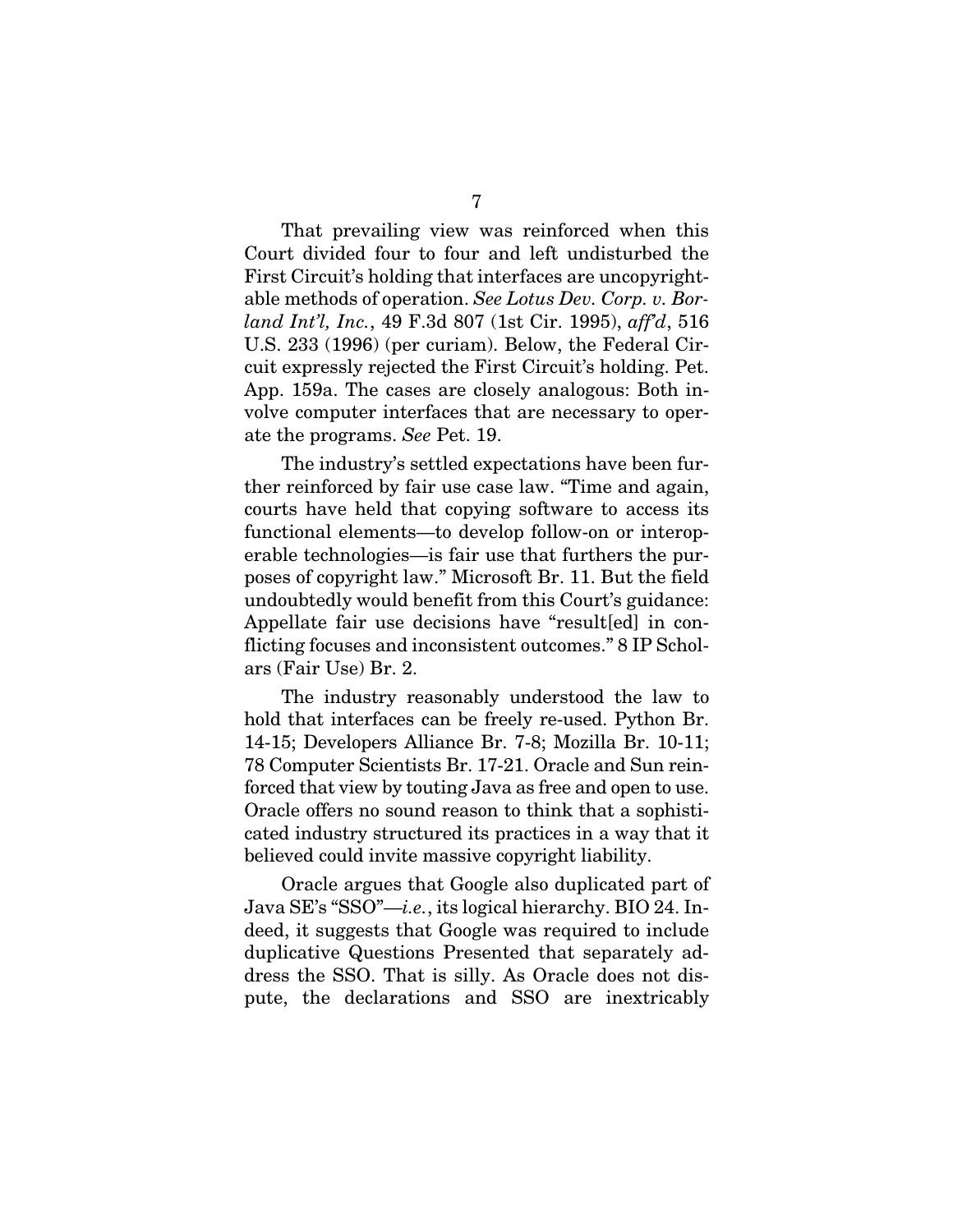That prevailing view was reinforced when this Court divided four to four and left undisturbed the First Circuit's holding that interfaces are uncopyrightable methods of operation. *See Lotus Dev. Corp. v. Borland Int'l, Inc.*, 49 F.3d 807 (1st Cir. 1995), *aff'd*, 516 U.S. 233 (1996) (per curiam). Below, the Federal Circuit expressly rejected the First Circuit's holding. Pet. App. 159a. The cases are closely analogous: Both involve computer interfaces that are necessary to operate the programs. *See* Pet. 19.

The industry's settled expectations have been further reinforced by fair use case law. "Time and again, courts have held that copying software to access its functional elements—to develop follow-on or interoperable technologies—is fair use that furthers the purposes of copyright law." Microsoft Br. 11. But the field undoubtedly would benefit from this Court's guidance: Appellate fair use decisions have "result[ed] in conflicting focuses and inconsistent outcomes." 8 IP Scholars (Fair Use) Br. 2.

The industry reasonably understood the law to hold that interfaces can be freely re-used. Python Br. 14-15; Developers Alliance Br. 7-8; Mozilla Br. 10-11; 78 Computer Scientists Br. 17-21. Oracle and Sun reinforced that view by touting Java as free and open to use. Oracle offers no sound reason to think that a sophisticated industry structured its practices in a way that it believed could invite massive copyright liability.

Oracle argues that Google also duplicated part of Java SE's "SSO"—*i.e.*, its logical hierarchy. BIO 24. Indeed, it suggests that Google was required to include duplicative Questions Presented that separately address the SSO. That is silly. As Oracle does not dispute, the declarations and SSO are inextricably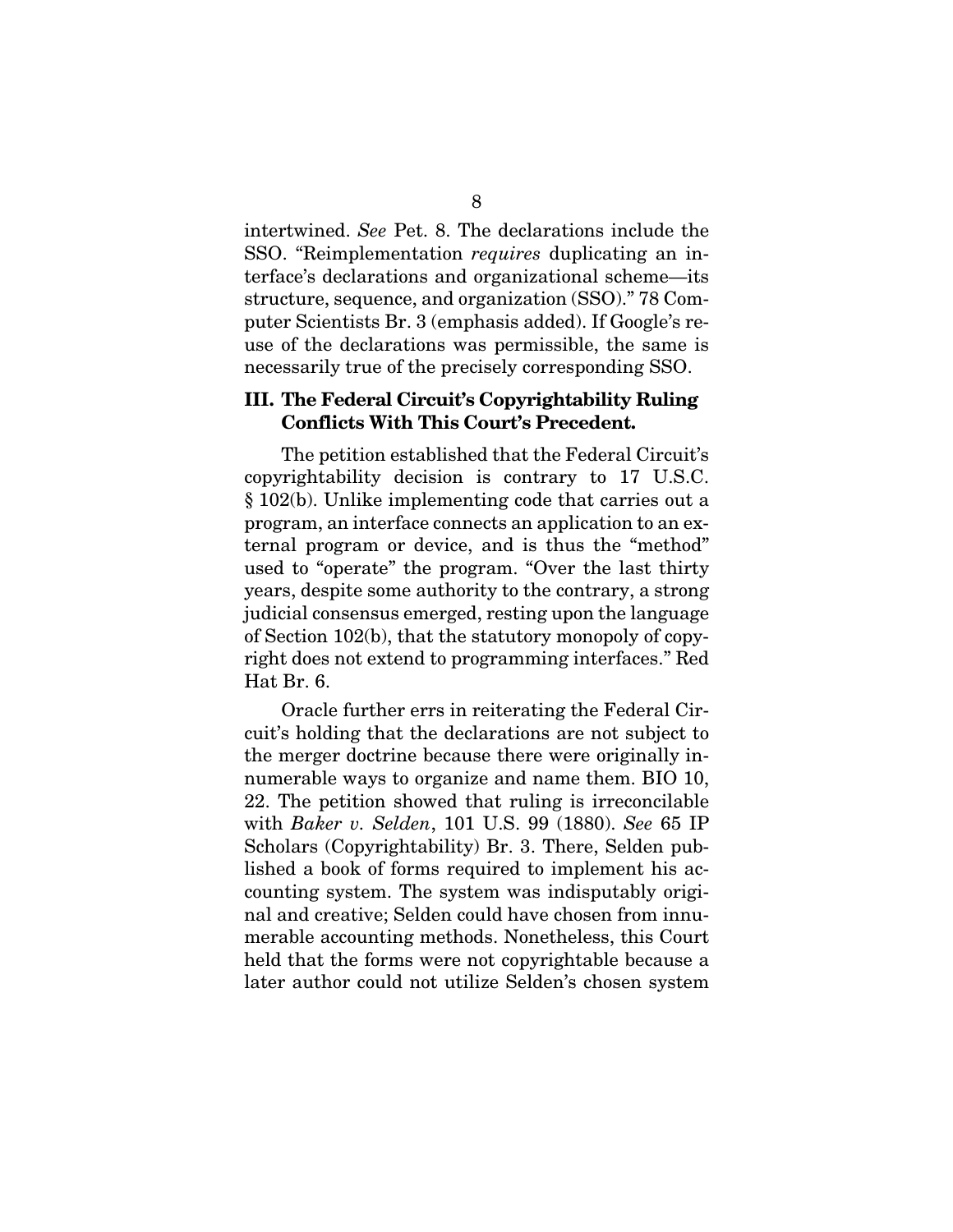intertwined. *See* Pet. 8. The declarations include the SSO. "Reimplementation *requires* duplicating an interface's declarations and organizational scheme—its structure, sequence, and organization (SSO)." 78 Computer Scientists Br. 3 (emphasis added). If Google's reuse of the declarations was permissible, the same is necessarily true of the precisely corresponding SSO.

#### III. The Federal Circuit's Copyrightability Ruling Conflicts With This Court's Precedent.

The petition established that the Federal Circuit's copyrightability decision is contrary to 17 U.S.C. § 102(b). Unlike implementing code that carries out a program, an interface connects an application to an external program or device, and is thus the "method" used to "operate" the program. "Over the last thirty years, despite some authority to the contrary, a strong judicial consensus emerged, resting upon the language of Section 102(b), that the statutory monopoly of copyright does not extend to programming interfaces." Red Hat Br. 6.

Oracle further errs in reiterating the Federal Circuit's holding that the declarations are not subject to the merger doctrine because there were originally innumerable ways to organize and name them. BIO 10, 22. The petition showed that ruling is irreconcilable with *Baker v. Selden*, 101 U.S. 99 (1880). *See* 65 IP Scholars (Copyrightability) Br. 3. There, Selden published a book of forms required to implement his accounting system. The system was indisputably original and creative; Selden could have chosen from innumerable accounting methods. Nonetheless, this Court held that the forms were not copyrightable because a later author could not utilize Selden's chosen system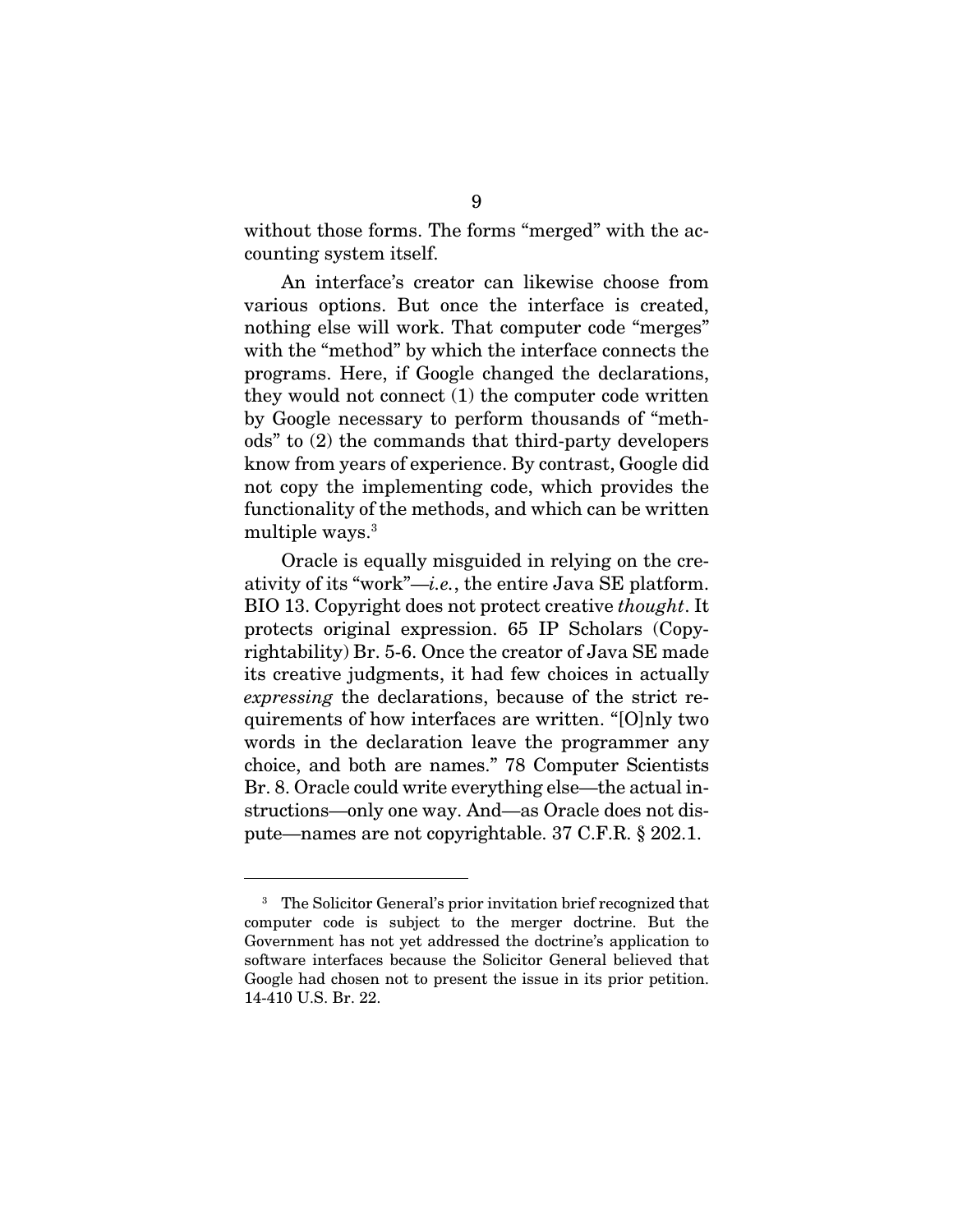without those forms. The forms "merged" with the accounting system itself.

An interface's creator can likewise choose from various options. But once the interface is created, nothing else will work. That computer code "merges" with the "method" by which the interface connects the programs. Here, if Google changed the declarations, they would not connect (1) the computer code written by Google necessary to perform thousands of "methods" to (2) the commands that third-party developers know from years of experience. By contrast, Google did not copy the implementing code, which provides the functionality of the methods, and which can be written multiple ways.<sup>3</sup>

Oracle is equally misguided in relying on the creativity of its "work"—*i.e.*, the entire Java SE platform. BIO 13. Copyright does not protect creative *thought*. It protects original expression. 65 IP Scholars (Copyrightability) Br. 5-6. Once the creator of Java SE made its creative judgments, it had few choices in actually *expressing* the declarations, because of the strict requirements of how interfaces are written. "[O]nly two words in the declaration leave the programmer any choice, and both are names." 78 Computer Scientists Br. 8. Oracle could write everything else—the actual instructions—only one way. And—as Oracle does not dispute—names are not copyrightable. 37 C.F.R. § 202.1.

<u>.</u>

<sup>&</sup>lt;sup>3</sup> The Solicitor General's prior invitation brief recognized that computer code is subject to the merger doctrine. But the Government has not yet addressed the doctrine's application to software interfaces because the Solicitor General believed that Google had chosen not to present the issue in its prior petition. 14-410 U.S. Br. 22.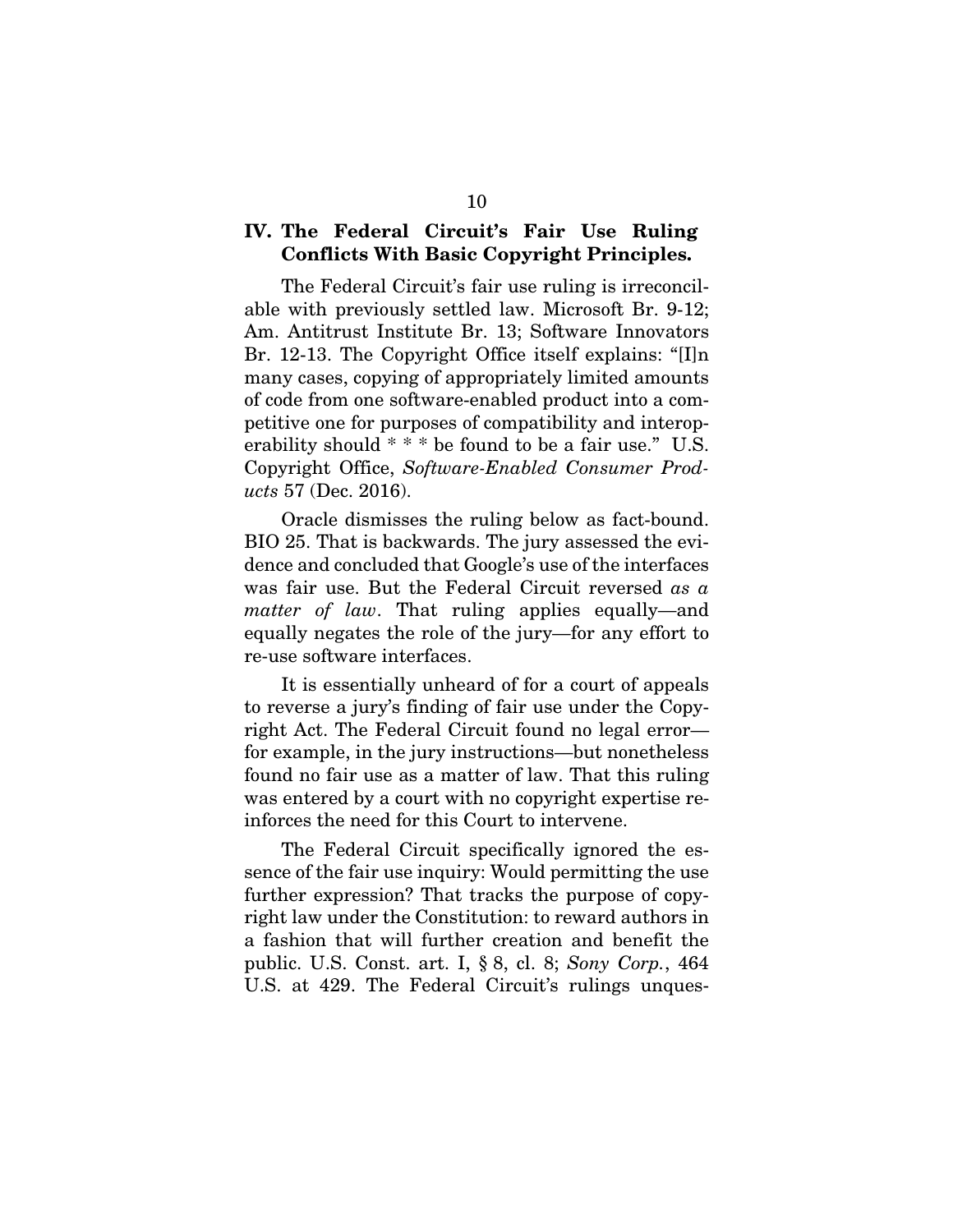### IV. The Federal Circuit's Fair Use Ruling Conflicts With Basic Copyright Principles.

The Federal Circuit's fair use ruling is irreconcilable with previously settled law. Microsoft Br. 9-12; Am. Antitrust Institute Br. 13; Software Innovators Br. 12-13. The Copyright Office itself explains: "[I]n many cases, copying of appropriately limited amounts of code from one software-enabled product into a competitive one for purposes of compatibility and interoperability should \* \* \* be found to be a fair use." U.S. Copyright Office, *Software-Enabled Consumer Products* 57 (Dec. 2016).

Oracle dismisses the ruling below as fact-bound. BIO 25. That is backwards. The jury assessed the evidence and concluded that Google's use of the interfaces was fair use. But the Federal Circuit reversed *as a matter of law*. That ruling applies equally—and equally negates the role of the jury—for any effort to re-use software interfaces.

It is essentially unheard of for a court of appeals to reverse a jury's finding of fair use under the Copyright Act. The Federal Circuit found no legal error for example, in the jury instructions—but nonetheless found no fair use as a matter of law. That this ruling was entered by a court with no copyright expertise reinforces the need for this Court to intervene.

The Federal Circuit specifically ignored the essence of the fair use inquiry: Would permitting the use further expression? That tracks the purpose of copyright law under the Constitution: to reward authors in a fashion that will further creation and benefit the public. U.S. Const. art. I, § 8, cl. 8; *Sony Corp.*, 464 U.S. at 429. The Federal Circuit's rulings unques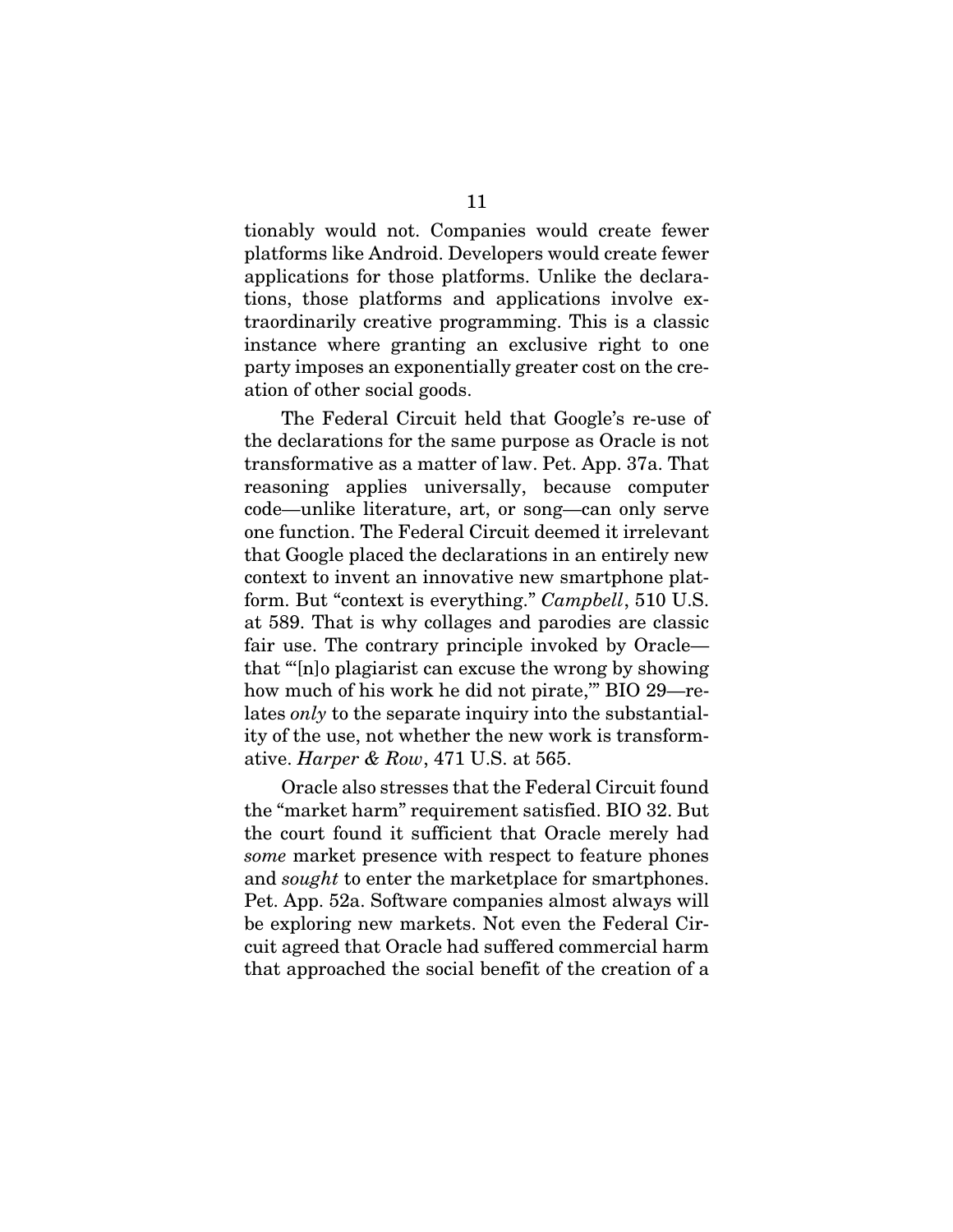tionably would not. Companies would create fewer platforms like Android. Developers would create fewer applications for those platforms. Unlike the declarations, those platforms and applications involve extraordinarily creative programming. This is a classic instance where granting an exclusive right to one party imposes an exponentially greater cost on the creation of other social goods.

The Federal Circuit held that Google's re-use of the declarations for the same purpose as Oracle is not transformative as a matter of law. Pet. App. 37a. That reasoning applies universally, because computer code—unlike literature, art, or song—can only serve one function. The Federal Circuit deemed it irrelevant that Google placed the declarations in an entirely new context to invent an innovative new smartphone platform. But "context is everything." *Campbell*, 510 U.S. at 589. That is why collages and parodies are classic fair use. The contrary principle invoked by Oracle that "'[n]o plagiarist can excuse the wrong by showing how much of his work he did not pirate," BIO 29—relates *only* to the separate inquiry into the substantiality of the use, not whether the new work is transformative. *Harper & Row*, 471 U.S. at 565.

Oracle also stresses that the Federal Circuit found the "market harm" requirement satisfied. BIO 32. But the court found it sufficient that Oracle merely had *some* market presence with respect to feature phones and *sought* to enter the marketplace for smartphones. Pet. App. 52a. Software companies almost always will be exploring new markets. Not even the Federal Circuit agreed that Oracle had suffered commercial harm that approached the social benefit of the creation of a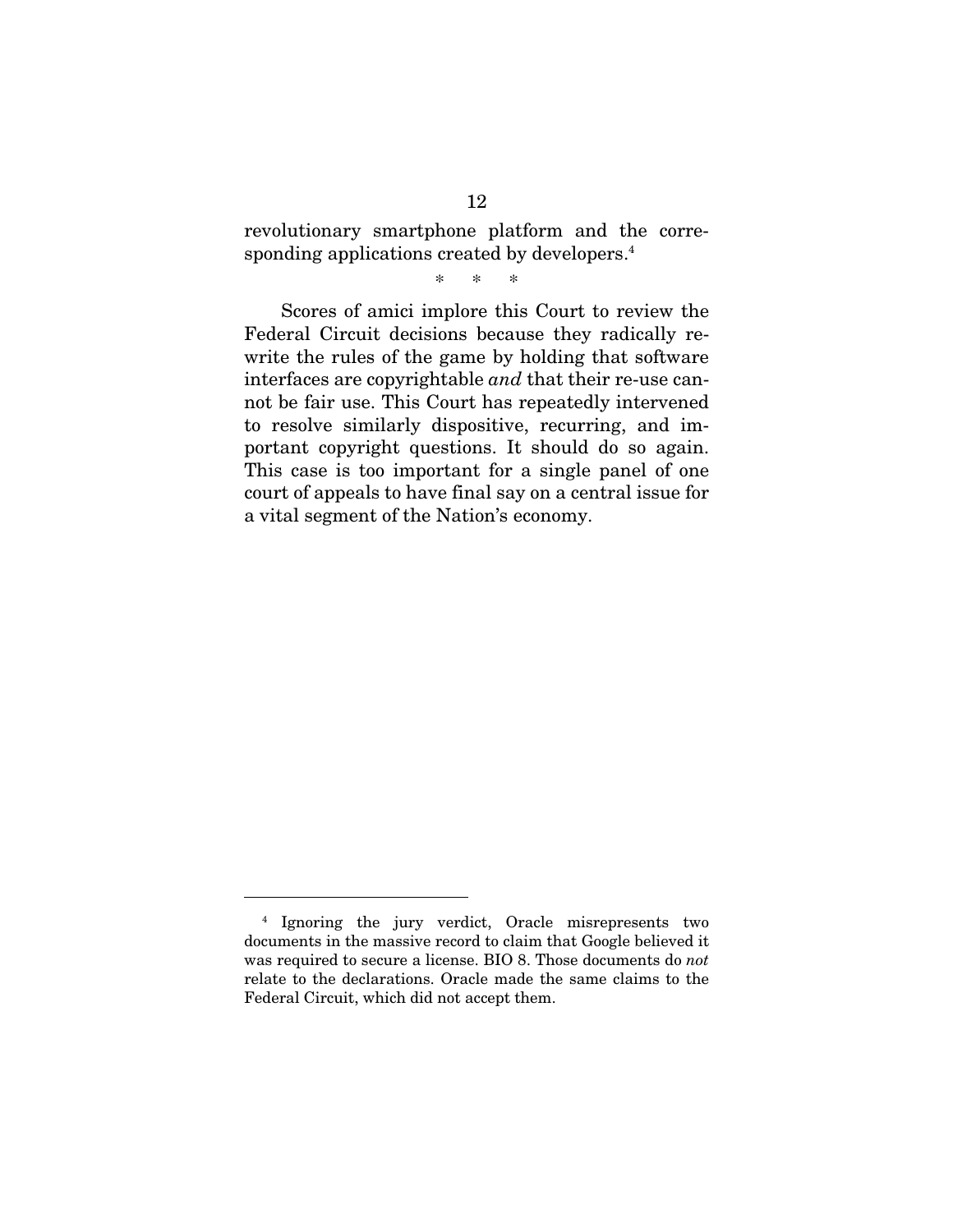revolutionary smartphone platform and the corresponding applications created by developers.<sup>4</sup>

\* \* \*

Scores of amici implore this Court to review the Federal Circuit decisions because they radically rewrite the rules of the game by holding that software interfaces are copyrightable *and* that their re-use cannot be fair use. This Court has repeatedly intervened to resolve similarly dispositive, recurring, and important copyright questions. It should do so again. This case is too important for a single panel of one court of appeals to have final say on a central issue for a vital segment of the Nation's economy.

-

<sup>4</sup> Ignoring the jury verdict, Oracle misrepresents two documents in the massive record to claim that Google believed it was required to secure a license. BIO 8. Those documents do *not*  relate to the declarations. Oracle made the same claims to the Federal Circuit, which did not accept them.